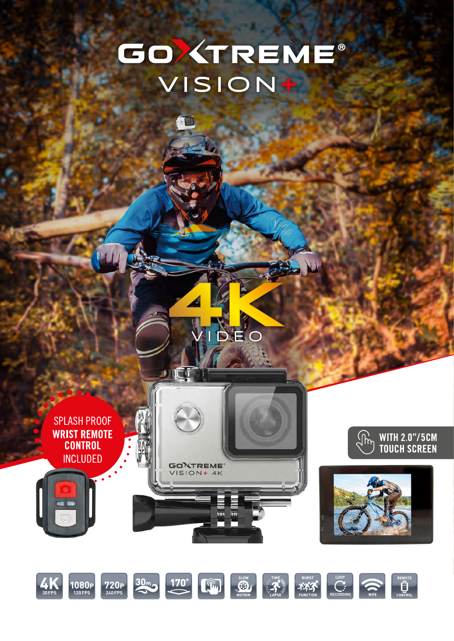# GOXTREME® VISION+

DEO

**SPLASH PROOF WRIST REMOTE CONTROL INCLUDED** 







 $\overline{mn}$ liii

**GOXTREME** VISION+ 4K